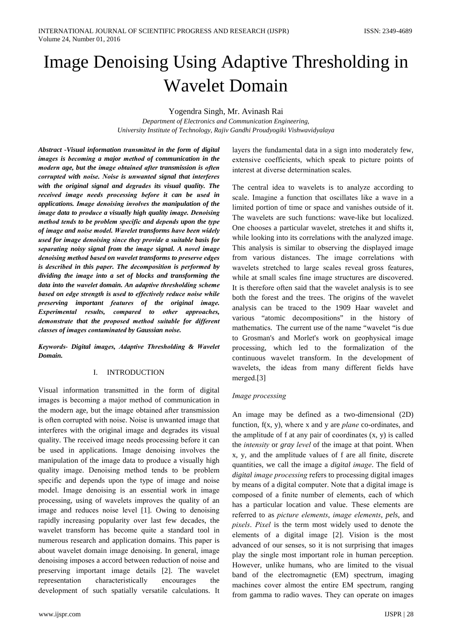# Image Denoising Using Adaptive Thresholding in **Wavelet Domain**

Yogendra Singh, Mr. Avinash Rai

Department of Electronics and Communication Engineering, University Institute of Technology, Rajiv Gandhi Proudyogiki Vishwavidyalaya

Abstract -Visual information transmitted in the form of digital images is becoming a major method of communication in the modern age, but the image obtained after transmission is often corrupted with noise. Noise is unwanted signal that interferes with the original signal and degrades its visual quality. The received image needs processing before it can be used in applications. Image denoising involves the manipulation of the image data to produce a visually high quality image. Denoising method tends to be problem specific and depends upon the type of image and noise model. Wavelet transforms have been widely used for image denoising since they provide a suitable basis for separating noisy signal from the image signal. A novel image denoising method based on wavelet transforms to preserve edges is described in this paper. The decomposition is performed by dividing the image into a set of blocks and transforming the data into the wavelet domain. An adaptive thresholding scheme based on edge strength is used to effectively reduce noise while preserving important features of the original image. Experimental results, compared to other approaches, demonstrate that the proposed method suitable for different classes of images contaminated by Gaussian noise.

Keywords- Digital images, Adaptive Thresholding & Wavelet Domain.

#### **INTRODUCTION**  $\mathbf{I}$

Visual information transmitted in the form of digital images is becoming a major method of communication in the modern age, but the image obtained after transmission is often corrupted with noise. Noise is unwanted image that interferes with the original image and degrades its visual quality. The received image needs processing before it can be used in applications. Image denoising involves the manipulation of the image data to produce a visually high quality image. Denoising method tends to be problem specific and depends upon the type of image and noise model. Image denoising is an essential work in image processing, using of wavelets improves the quality of an image and reduces noise level [1]. Owing to denoising rapidly increasing popularity over last few decades, the wavelet transform has become quite a standard tool in numerous research and application domains. This paper is about wavelet domain image denoising. In general, image denoising imposes a accord between reduction of noise and preserving important image details [2]. The wavelet representation characteristically encourages the development of such spatially versatile calculations. It

layers the fundamental data in a sign into moderately few, extensive coefficients, which speak to picture points of interest at diverse determination scales.

The central idea to wavelets is to analyze according to scale. Imagine a function that oscillates like a wave in a limited portion of time or space and vanishes outside of it. The wavelets are such functions: wave-like but localized. One chooses a particular wavelet, stretches it and shifts it, while looking into its correlations with the analyzed image. This analysis is similar to observing the displayed image from various distances. The image correlations with wavelets stretched to large scales reveal gross features, while at small scales fine image structures are discovered. It is therefore often said that the wavelet analysis is to see both the forest and the trees. The origins of the wavelet analysis can be traced to the 1909 Haar wavelet and various "atomic decompositions" in the history of mathematics. The current use of the name "wavelet "is due to Grosman's and Morlet's work on geophysical image processing, which led to the formalization of the continuous wavelet transform. In the development of wavelets, the ideas from many different fields have merged.[3]

#### Image processing

An image may be defined as a two-dimensional (2D) function,  $f(x, y)$ , where x and y are *plane* co-ordinates, and the amplitude of  $f$  at any pair of coordinates  $(x, y)$  is called the *intensity* or *gray level* of the image at that point. When x, y, and the amplitude values of f are all finite, discrete quantities, we call the image a *digital image*. The field of digital image processing refers to processing digital images by means of a digital computer. Note that a digital image is composed of a finite number of elements, each of which has a particular location and value. These elements are referred to as picture elements, image elements, pels, and pixels. Pixel is the term most widely used to denote the elements of a digital image [2]. Vision is the most advanced of our senses, so it is not surprising that images play the single most important role in human perception. However, unlike humans, who are limited to the visual band of the electromagnetic (EM) spectrum, imaging machines cover almost the entire EM spectrum, ranging from gamma to radio waves. They can operate on images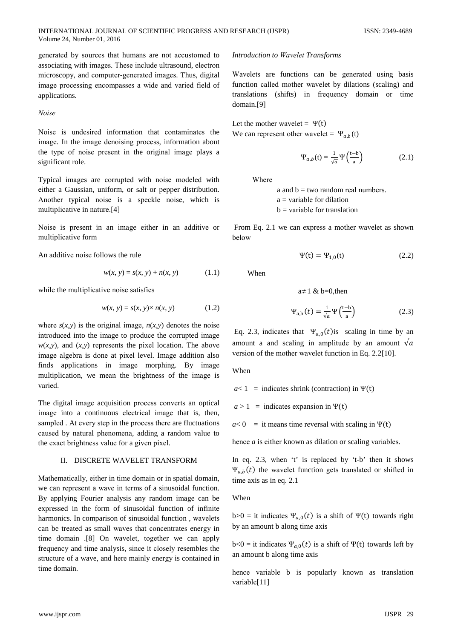generated by sources that humans are not accustomed to associating with images. These include ultrasound, electron microscopy, and computer-generated images. Thus, digital image processing encompasses a wide and varied field of applications.

Noise

Noise is undesired information that contaminates the image. In the image denoising process, information about the type of noise present in the original image plays a significant role.

Typical images are corrupted with noise modeled with either a Gaussian, uniform, or salt or pepper distribution. Another typical noise is a speckle noise, which is multiplicative in nature.[4]

Noise is present in an image either in an additive or multiplicative form

An additive noise follows the rule

$$
w(x, y) = s(x, y) + n(x, y)
$$
 (1.1)

while the multiplicative noise satisfies

$$
w(x, y) = s(x, y) \times n(x, y)
$$
 (1.2)

where  $s(x, y)$  is the original image,  $n(x, y)$  denotes the noise introduced into the image to produce the corrupted image  $w(x, y)$ , and  $(x, y)$  represents the pixel location. The above image algebra is done at pixel level. Image addition also finds applications in image morphing. By image multiplication, we mean the brightness of the image is varied.

The digital image acquisition process converts an optical image into a continuous electrical image that is, then, sampled. At every step in the process there are fluctuations caused by natural phenomena, adding a random value to the exact brightness value for a given pixel.

#### II. DISCRETE WAVELET TRANSFORM

Mathematically, either in time domain or in spatial domain, we can represent a wave in terms of a sinusoidal function. By applying Fourier analysis any random image can be expressed in the form of sinusoidal function of infinite harmonics. In comparison of sinusoidal function, wavelets can be treated as small waves that concentrates energy in time domain [8] On wavelet, together we can apply frequency and time analysis, since it closely resembles the structure of a wave, and here mainly energy is contained in time domain.

#### **Introduction to Wavelet Transforms**

Wavelets are functions can be generated using basis function called mother wavelet by dilations (scaling) and translations (shifts) in frequency domain or time domain.[9]

Let the mother wavelet =  $\Psi(t)$ We can represent other wavelet =  $\Psi_{a,b}(t)$ 

$$
\Psi_{a,b}(t) = \frac{1}{\sqrt{a}} \Psi\left(\frac{t-b}{a}\right) \tag{2.1}
$$

**Where** 

a and  $b = two$  random real numbers.  $a = variable$  for dilation  $b =$  variable for translation

From Eq. 2.1 we can express a mother wavelet as shown below

$$
\Psi(t) = \Psi_{1,0}(t) \tag{2.2}
$$

When

$$
a \neq 1 \& b=0, \text{then}
$$
  

$$
\Psi_{a,b}(t) = \frac{1}{\sqrt{a}} \Psi\left(\frac{t-b}{a}\right)
$$
 (2.3)

Eq. 2.3, indicates that  $\Psi_{a,0}(t)$  is scaling in time by an amount a and scaling in amplitude by an amount  $\sqrt{a}$ version of the mother wavelet function in Eq. 2.2[10].

When

 $a<1$  = indicates shrink (contraction) in  $\Psi(t)$ 

 $a > 1$  = indicates expansion in  $\Psi(t)$ 

 $a<0$  = it means time reversal with scaling in  $\Psi(t)$ 

hence  $a$  is either known as dilation or scaling variables.

In eq. 2.3, when 't' is replaced by 't-b' then it shows  $\Psi_{a,b}(t)$  the wavelet function gets translated or shifted in time axis as in eq. 2.1

When

b>0 = it indicates  $\Psi_{a,0}(t)$  is a shift of  $\Psi(t)$  towards right by an amount b along time axis

b<0 = it indicates  $\Psi_{a,0}(t)$  is a shift of  $\Psi(t)$  towards left by an amount b along time axis

hence variable b is popularly known as translation variable[11]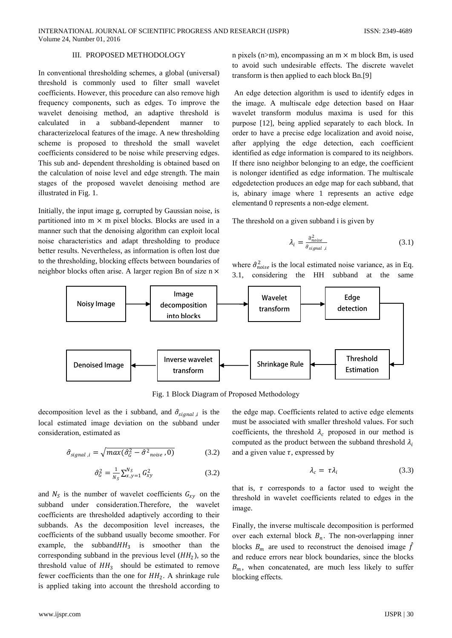# III. PROPOSED METHODOLOGY

In conventional thresholding schemes, a global (universal) threshold is commonly used to filter small wavelet coefficients. However, this procedure can also remove high frequency components, such as edges. To improve the wavelet denoising method, an adaptive threshold is calculated in a subband-dependent manner  $\mathbf{t}$ characterize local features of the image. A new thresholding scheme is proposed to threshold the small wavelet coefficients considered to be noise while preserving edges. This sub and- dependent thresholding is obtained based on the calculation of noise level and edge strength. The main stages of the proposed wavelet denoising method are illustrated in Fig. 1.

Initially, the input image g, corrupted by Gaussian noise, is partitioned into  $m \times m$  pixel blocks. Blocks are used in a manner such that the denoising algorithm can exploit local noise characteristics and adapt thresholding to produce better results. Nevertheless, as information is often lost due to the thresholding, blocking effects between boundaries of neighbor blocks often arise. A larger region Bn of size n × n pixels (n>m), encompassing an  $m \times m$  block Bm, is used to avoid such undesirable effects. The discrete wavelet transform is then applied to each block Bn.[9]

An edge detection algorithm is used to identify edges in the image. A multiscale edge detection based on Haar wavelet transform modulus maxima is used for this purpose [12], being applied separately to each block. In order to have a precise edge localization and avoid noise, after applying the edge detection, each coefficient identified as edge information is compared to its neighbors. If there is no neighbor belonging to an edge, the coefficient is nolonger identified as edge information. The multiscale edgedetection produces an edge map for each subband, that is, abinary image where 1 represents an active edge elementand 0 represents a non-edge element.

The threshold on a given subband i is given by

$$
\lambda_i = \frac{\hat{\sigma}_{noise}^2}{\hat{\sigma}_{signal,i}}
$$
\n(3.1)

where  $\hat{\sigma}_{noise}^2$  is the local estimated noise variance, as in Eq. 3.1, considering the HH subband at the same



Fig. 1 Block Diagram of Proposed Methodology

decomposition level as the i subband, and  $\hat{\sigma}_{signal,i}$  is the local estimated image deviation on the subband under consideration, estimated as

$$
\hat{\sigma}_{signal,i} = \sqrt{max(\hat{\sigma}_G^2 - \hat{\sigma}^2_{noise}, 0)}
$$
(3.2)

$$
\hat{\sigma}_{G}^{2} = \frac{1}{N_{S}} \sum_{x,y=1}^{N_{S}} G_{xy}^{2}
$$
 (3.2)

and  $N<sub>S</sub>$  is the number of wavelet coefficients  $G<sub>xy</sub>$  on the subband under consideration. Therefore, the wavelet coefficients are thresholded adaptively according to their subbands. As the decomposition level increases, the coefficients of the subband usually become smoother. For example, the subband  $HH_3$  is smoother than the corresponding subband in the previous level  $(HH<sub>2</sub>)$ , so the threshold value of  $HH_3$  should be estimated to remove fewer coefficients than the one for  $HH_2$ . A shrinkage rule is applied taking into account the threshold according to the edge map. Coefficients related to active edge elements must be associated with smaller threshold values. For such coefficients, the threshold  $\lambda_c$  proposed in our method is computed as the product between the subband threshold  $\lambda_i$ and a given value  $\tau$ , expressed by

$$
\lambda_c = \tau \lambda_i \tag{3.3}
$$

that is,  $\tau$  corresponds to a factor used to weight the threshold in wavelet coefficients related to edges in the image.

Finally, the inverse multiscale decomposition is performed over each external block  $B_n$ . The non-overlapping inner blocks  $B_m$  are used to reconstruct the denoised image  $\hat{f}$ and reduce errors near block boundaries, since the blocks  $B_m$ , when concatenated, are much less likely to suffer blocking effects.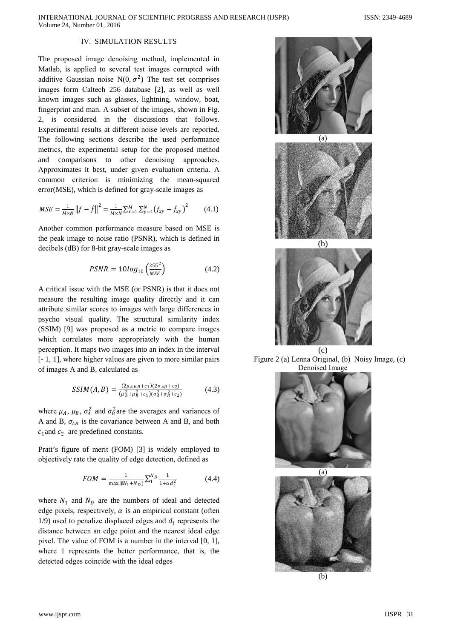# IV. SIMULATION RESULTS

The proposed image denoising method, implemented in Matlab, is applied to several test images corrupted with additive Gaussian noise N(0,  $\sigma^2$ ) The test set comprises images form Caltech 256 database [2], as well as well known images such as glasses, lightning, window, boat, fingerprint and man. A subset of the images, shown in Fig. 2, is considered in the discussions that follows. Experimental results at different noise levels are reported. The following sections describe the used performance metrics, the experimental setup for the proposed method and comparisons to other denoising approaches. Approximates it best, under given evaluation criteria. A common criterion is minimizing the mean-squared error(MSE), which is defined for gray-scale images as

$$
MSE = \frac{1}{M \times N} ||f - \hat{f}||^2 = \frac{1}{M \times N} \sum_{x=1}^{M} \sum_{y=1}^{N} (f_{xy} - \hat{f}_{xy})^2
$$
(4.1)

Another common performance measure based on MSE is the peak image to noise ratio (PSNR), which is defined in decibels (dB) for 8-bit gray-scale images as

$$
PSNR = 10log_{10}\left(\frac{255^2}{MSE}\right) \tag{4.2}
$$

A critical issue with the MSE (or PSNR) is that it does not measure the resulting image quality directly and it can attribute similar scores to images with large differences in psycho visual quality. The structural similarity index (SSIM) [9] was proposed as a metric to compare images which correlates more appropriately with the human perception. It maps two images into an index in the interval  $[-1, 1]$ , where higher values are given to more similar pairs of images A and B, calculated as

$$
SSIM(A, B) = \frac{(2\mu_A \mu_B + c_1)(2\sigma_{AB} + c_2)}{(\mu_A^2 + \mu_B^2 + c_1)(\sigma_A^2 + \sigma_B^2 + c_2)}
$$
(4.3)

where  $\mu_A$ ,  $\mu_B$ ,  $\sigma_A^2$  and  $\sigma_B^2$  are the averages and variances of A and B,  $\sigma_{AB}$  is the covariance between A and B, and both  $c_1$  and  $c_2$  are predefined constants.

Pratt's figure of merit (FOM) [3] is widely employed to objectively rate the quality of edge detection, defined as

$$
FOM = \frac{1}{\max \{ \text{R}_{1} + N_{D} \}} \sum_{1}^{N_{D}} \frac{1}{1 + \alpha d_{i}^{2}} \tag{4.4}
$$

where  $N_1$  and  $N_D$  are the numbers of ideal and detected edge pixels, respectively,  $\alpha$  is an empirical constant (often  $1/9$ ) used to penalize displaced edges and  $d_i$  represents the distance between an edge point and the nearest ideal edge pixel. The value of FOM is a number in the interval  $[0, 1]$ , where 1 represents the better performance, that is, the detected edges coincide with the ideal edges





Figure 2 (a) Lenna Original, (b) Noisy Image, (c) Denoised Image



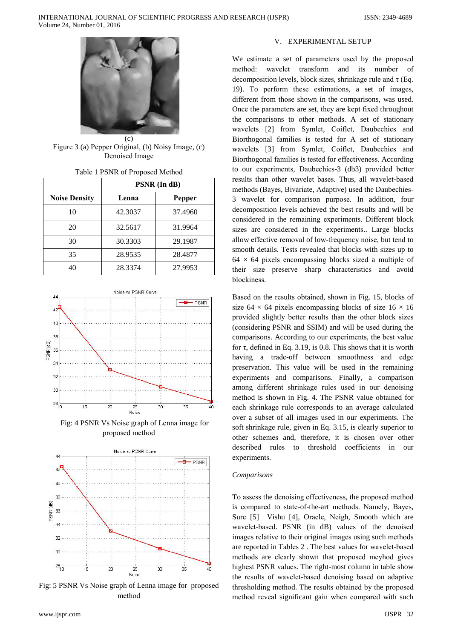

Figure 3 (a) Pepper Original, (b) Noisy Image, (c) Denoised Image

| Table T PSNR of Proposed Method |  |
|---------------------------------|--|
| DOMID (L. JD)                   |  |

|                      | PSNR (In dB) |         |  |  |
|----------------------|--------------|---------|--|--|
| <b>Noise Density</b> | Lenna        | Pepper  |  |  |
| 10                   | 42.3037      | 37.4960 |  |  |
| 20                   | 32.5617      | 31.9964 |  |  |
| 30                   | 30.3303      | 29.1987 |  |  |
| 35                   | 28.9535      | 28.4877 |  |  |
| 40                   | 28.3374      | 27.9953 |  |  |



Fig: 4 PSNR Vs Noise graph of Lenna image for proposed method



Fig: 5 PSNR Vs Noise graph of Lenna image for proposed method

# V. EXPERIMENTAL SETUP

We estimate a set of parameters used by the proposed wavelet transform and its number method: of decomposition levels, block sizes, shrinkage rule and  $\tau$  (Eq. 19). To perform these estimations, a set of images, different from those shown in the comparisons, was used. Once the parameters are set, they are kept fixed throughout the comparisons to other methods. A set of stationary wavelets [2] from Symlet, Coiflet, Daubechies and Biorthogonal families is tested for A set of stationary wavelets [3] from Symlet, Coiflet, Daubechies and Biorthogonal families is tested for effectiveness. According to our experiments, Daubechies-3 (db3) provided better results than other wavelet bases. Thus, all wavelet-based methods (Bayes, Bivariate, Adaptive) used the Daubechies-3 wavelet for comparison purpose. In addition, four decomposition levels achieved the best results and will be considered in the remaining experiments. Different block sizes are considered in the experiments.. Large blocks allow effective removal of low-frequency noise, but tend to smooth details. Tests revealed that blocks with sizes up to  $64 \times 64$  pixels encompassing blocks sized a multiple of their size preserve sharp characteristics and avoid blockiness.

Based on the results obtained, shown in Fig. 15, blocks of size 64  $\times$  64 pixels encompassing blocks of size 16  $\times$  16 provided slightly better results than the other block sizes (considering PSNR and SSIM) and will be used during the comparisons. According to our experiments, the best value for  $\tau$ , defined in Eq. 3.19, is 0.8. This shows that it is worth having a trade-off between smoothness and edge preservation. This value will be used in the remaining experiments and comparisons. Finally, a comparison among different shrinkage rules used in our denoising method is shown in Fig. 4. The PSNR value obtained for each shrinkage rule corresponds to an average calculated over a subset of all images used in our experiments. The soft shrinkage rule, given in Eq. 3.15, is clearly superior to other schemes and, therefore, it is chosen over other described rules to threshold coefficients in  $_{OIII}$ experiments.

## Comparisons

To assess the denoising effectiveness, the proposed method is compared to state-of-the-art methods. Namely, Bayes, Sure [5] Vishu [4], Oracle, Neigh, Smooth which are wavelet-based. PSNR (in dB) values of the denoised images relative to their original images using such methods are reported in Tables 2. The best values for wavelet-based methods are clearly shown that proposed meyhod gives highest PSNR values. The right-most column in table show the results of wavelet-based denoising based on adaptive thresholding method. The results obtained by the proposed method reveal significant gain when compared with such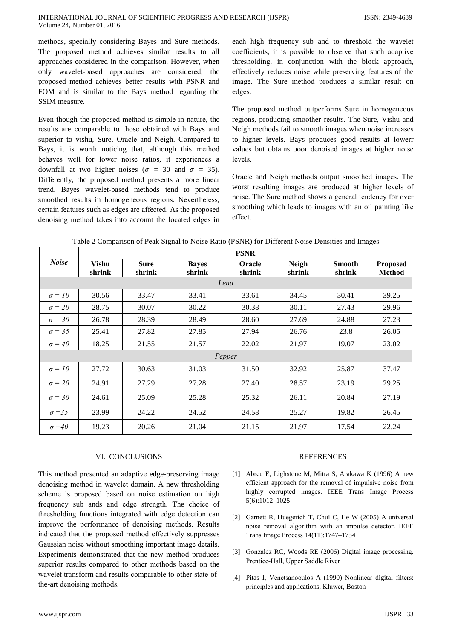methods, specially considering Bayes and Sure methods. The proposed method achieves similar results to all approaches considered in the comparison. However, when only wavelet-based approaches are considered, the proposed method achieves better results with PSNR and FOM and is similar to the Bays method regarding the SSIM measure.

Even though the proposed method is simple in nature, the results are comparable to those obtained with Bays and superior to vishu, Sure, Oracle and Neigh. Compared to Bays, it is worth noticing that, although this method behaves well for lower noise ratios, it experiences a downfall at two higher noises ( $\sigma = 30$  and  $\sigma = 35$ ). Differently, the proposed method presents a more linear trend. Bayes wavelet-based methods tend to produce smoothed results in homogeneous regions. Nevertheless, certain features such as edges are affected. As the proposed denoising method takes into account the located edges in

each high frequency sub and to threshold the wavelet coefficients, it is possible to observe that such adaptive thresholding, in conjunction with the block approach, effectively reduces noise while preserving features of the image. The Sure method produces a similar result on edges.

The proposed method outperforms Sure in homogeneous regions, producing smoother results. The Sure, Vishu and Neigh methods fail to smooth images when noise increases to higher levels. Bays produces good results at lowerr values but obtains poor denoised images at higher noise levels.

Oracle and Neigh methods output smoothed images. The worst resulting images are produced at higher levels of noise. The Sure method shows a general tendency for over smoothing which leads to images with an oil painting like effect.

Table 2 Comparison of Peak Signal to Noise Ratio (PSNR) for Different Noise Densities and Images

|               | <b>PSNR</b>     |                       |                        |                  |                        |                         |                                  |  |  |  |
|---------------|-----------------|-----------------------|------------------------|------------------|------------------------|-------------------------|----------------------------------|--|--|--|
| <b>Noise</b>  | Vishu<br>shrink | <b>Sure</b><br>shrink | <b>Bayes</b><br>shrink | Oracle<br>shrink | <b>Neigh</b><br>shrink | <b>Smooth</b><br>shrink | <b>Proposed</b><br><b>Method</b> |  |  |  |
| Lena          |                 |                       |                        |                  |                        |                         |                                  |  |  |  |
| $\sigma = 10$ | 30.56           | 33.47                 | 33.41                  | 33.61            | 34.45                  | 30.41                   | 39.25                            |  |  |  |
| $\sigma = 20$ | 28.75           | 30.07                 | 30.22                  | 30.38            | 30.11                  | 27.43                   | 29.96                            |  |  |  |
| $\sigma = 30$ | 26.78           | 28.39                 | 28.49                  | 28.60            | 27.69                  | 24.88                   | 27.23                            |  |  |  |
| $\sigma = 35$ | 25.41           | 27.82                 | 27.85                  | 27.94            | 26.76                  | 23.8                    | 26.05                            |  |  |  |
| $\sigma = 40$ | 18.25           | 21.55                 | 21.57                  | 22.02            | 21.97                  | 19.07                   | 23.02                            |  |  |  |
| Pepper        |                 |                       |                        |                  |                        |                         |                                  |  |  |  |
| $\sigma = 10$ | 27.72           | 30.63                 | 31.03                  | 31.50            | 32.92                  | 25.87                   | 37.47                            |  |  |  |
| $\sigma = 20$ | 24.91           | 27.29                 | 27.28                  | 27.40            | 28.57                  | 23.19                   | 29.25                            |  |  |  |
| $\sigma = 30$ | 24.61           | 25.09                 | 25.28                  | 25.32            | 26.11                  | 20.84                   | 27.19                            |  |  |  |
| $\sigma = 35$ | 23.99           | 24.22                 | 24.52                  | 24.58            | 25.27                  | 19.82                   | 26.45                            |  |  |  |
| $\sigma = 40$ | 19.23           | 20.26                 | 21.04                  | 21.15            | 21.97                  | 17.54                   | 22.24                            |  |  |  |

## VI. CONCLUSIONS

This method presented an adaptive edge-preserving image denoising method in wavelet domain. A new thresholding scheme is proposed based on noise estimation on high frequency sub ands and edge strength. The choice of thresholding functions integrated with edge detection can improve the performance of denoising methods. Results indicated that the proposed method effectively suppresses Gaussian noise without smoothing important image details. Experiments demonstrated that the new method produces superior results compared to other methods based on the wavelet transform and results comparable to other state-ofthe-art denoising methods.

## **REFERENCES**

- [1] Abreu E, Lighstone M, Mitra S, Arakawa K (1996) A new efficient approach for the removal of impulsive noise from highly corrupted images. IEEE Trans Image Process  $5(6):1012-1025$
- [2] Garnett R, Huegerich T, Chui C, He W (2005) A universal noise removal algorithm with an impulse detector. IEEE Trans Image Process 14(11):1747-1754
- [3] Gonzalez RC, Woods RE (2006) Digital image processing. Prentice-Hall, Upper Saddle River
- [4] Pitas I, Venetsanooulos A (1990) Nonlinear digital filters: principles and applications, Kluwer, Boston